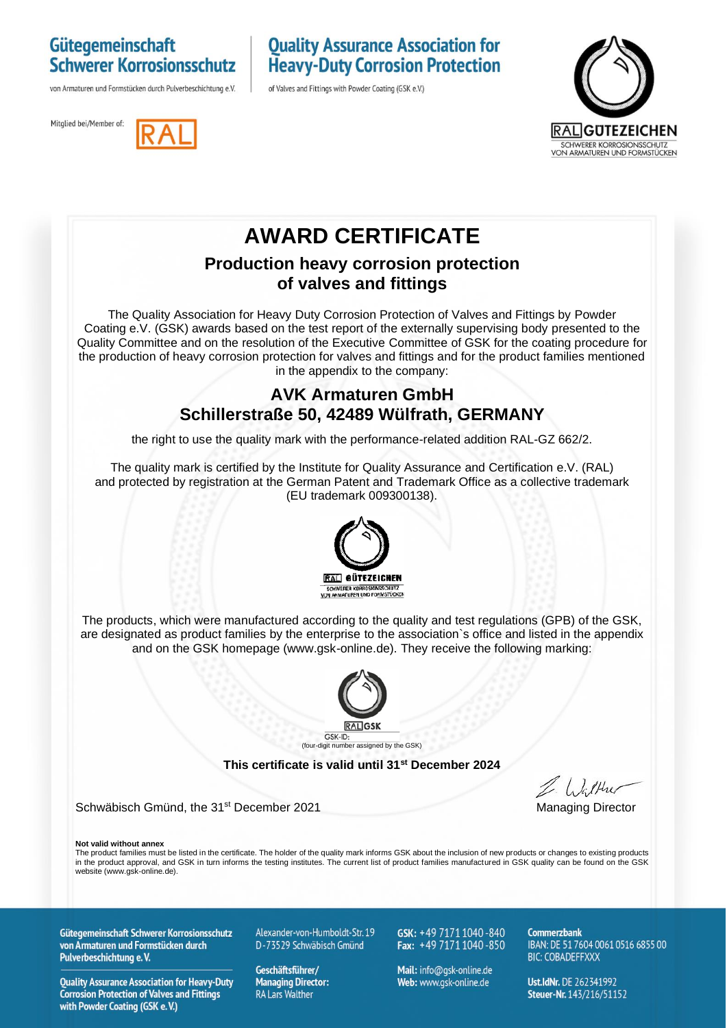### Gütegemeinschaft **Schwerer Korrosionsschutz**

von Armaturen und Formstücken durch Pulverbeschichtung e.V.

### **Quality Assurance Association for Heavy-Duty Corrosion Protection**

of Valves and Fittings with Powder Coating (GSK e.V.)





### **AWARD CERTIFICATE**

#### **Production heavy corrosion protection of valves and fittings**

The Quality Association for Heavy Duty Corrosion Protection of Valves and Fittings by Powder Coating e.V. (GSK) awards based on the test report of the externally supervising body presented to the Quality Committee and on the resolution of the Executive Committee of GSK for the coating procedure for the production of heavy corrosion protection for valves and fittings and for the product families mentioned in the appendix to the company:

### **AVK Armaturen GmbH Schillerstraße 50, 42489 Wülfrath, GERMANY**

the right to use the quality mark with the performance-related addition RAL-GZ 662/2.

The quality mark is certified by the Institute for Quality Assurance and Certification e.V. (RAL) and protected by registration at the German Patent and Trademark Office as a collective trademark (EU trademark 009300138).



The products, which were manufactured according to the quality and test regulations (GPB) of the GSK, are designated as product families by the enterprise to the association`s office and listed in the appendix and on the GSK homepage (www.gsk-online.de). They receive the following marking:



**This certificate is valid until 31st December 2024**

Schwäbisch Gmünd, the 31<sup>st</sup> December 2021 Managing Director

**Not valid without annex**

The product families must be listed in the certificate. The holder of the quality mark informs GSK about the inclusion of new products or changes to existing products in the product approval, and GSK in turn informs the testing institutes. The current list of product families manufactured in GSK quality can be found on the GSK website (www.gsk-online.de).

Gütegemeinschaft Schwerer Korrosionsschutz von Armaturen und Formstücken durch Pulverbeschichtung e.V.

**Quality Assurance Association for Heavy-Duty Corrosion Protection of Valves and Fittings** with Powder Coating (GSK e.V.)

Alexander-von-Humboldt-Str. 19 D-73529 Schwäbisch Gmünd

Geschäftsführer/ **Managing Director: RA Lars Walther** 

GSK: +49 7171 1040-840 Fax:  $+49\,7171\,1040\,850$ 

Mail: info@qsk-online.de Web: www.gsk-online.de

Commerzhank IBAN: DE 51 7604 0061 0516 6855 00 **BIC: COBADEFFXXX** 

Ust.IdNr. DE 262341992 Steuer-Nr. 143/216/51152